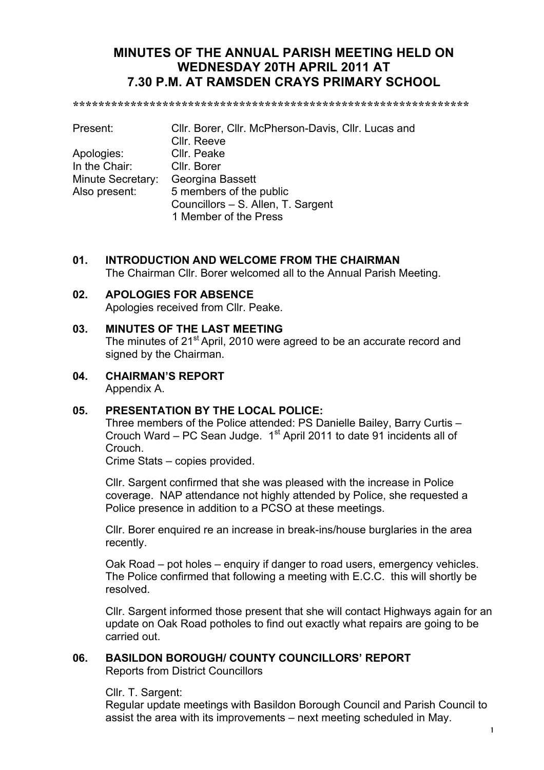# **MINUTES OF THE ANNUAL PARISH MEETING HELD ON WEDNESDAY 20TH APRIL 2011 AT 7.30 P.M. AT RAMSDEN CRAYS PRIMARY SCHOOL**

**\*\*\*\*\*\*\*\*\*\*\*\*\*\*\*\*\*\*\*\*\*\*\*\*\*\*\*\*\*\*\*\*\*\*\*\*\*\*\*\*\*\*\*\*\*\*\*\*\*\*\*\*\*\*\*\*\*\*\*\*\*\***

| Present:          | CIIr. Borer, CIIr. McPherson-Davis, CIIr. Lucas and |  |  |  |  |
|-------------------|-----------------------------------------------------|--|--|--|--|
|                   | Cllr. Reeve                                         |  |  |  |  |
| Apologies:        | Cllr. Peake                                         |  |  |  |  |
| In the Chair:     | Cllr. Borer                                         |  |  |  |  |
| Minute Secretary: | Georgina Bassett                                    |  |  |  |  |
| Also present:     | 5 members of the public                             |  |  |  |  |
|                   | Councillors - S. Allen, T. Sargent                  |  |  |  |  |
|                   | 1 Member of the Press                               |  |  |  |  |

## **01. INTRODUCTION AND WELCOME FROM THE CHAIRMAN**

The Chairman Cllr. Borer welcomed all to the Annual Parish Meeting.

#### **02. APOLOGIES FOR ABSENCE**

Apologies received from Cllr. Peake.

#### **03. MINUTES OF THE LAST MEETING**

The minutes of 21<sup>st</sup> April, 2010 were agreed to be an accurate record and signed by the Chairman.

**04. CHAIRMAN'S REPORT** Appendix A.

#### **05. PRESENTATION BY THE LOCAL POLICE:**

Three members of the Police attended: PS Danielle Bailey, Barry Curtis – Crouch Ward – PC Sean Judge.  $1<sup>st</sup>$  April 2011 to date 91 incidents all of Crouch.

Crime Stats – copies provided.

Cllr. Sargent confirmed that she was pleased with the increase in Police coverage. NAP attendance not highly attended by Police, she requested a Police presence in addition to a PCSO at these meetings.

Cllr. Borer enquired re an increase in break-ins/house burglaries in the area recently.

Oak Road – pot holes – enquiry if danger to road users, emergency vehicles. The Police confirmed that following a meeting with E.C.C. this will shortly be resolved.

Cllr. Sargent informed those present that she will contact Highways again for an update on Oak Road potholes to find out exactly what repairs are going to be carried out.

## **06. BASILDON BOROUGH/ COUNTY COUNCILLORS' REPORT**

Reports from District Councillors

Cllr. T. Sargent:

Regular update meetings with Basildon Borough Council and Parish Council to assist the area with its improvements – next meeting scheduled in May.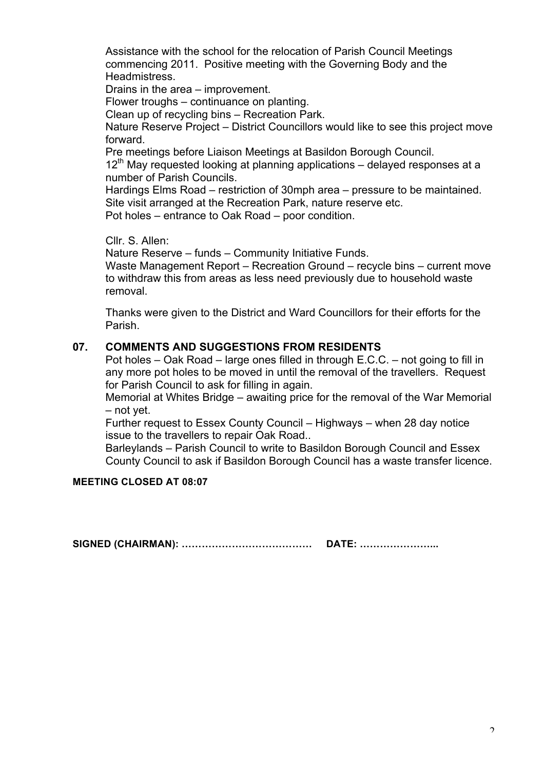Assistance with the school for the relocation of Parish Council Meetings commencing 2011. Positive meeting with the Governing Body and the Headmistress.

Drains in the area – improvement.

Flower troughs – continuance on planting.

Clean up of recycling bins – Recreation Park.

Nature Reserve Project – District Councillors would like to see this project move forward.

Pre meetings before Liaison Meetings at Basildon Borough Council.

 $12<sup>th</sup>$  May requested looking at planning applications – delayed responses at a number of Parish Councils.

Hardings Elms Road – restriction of 30mph area – pressure to be maintained. Site visit arranged at the Recreation Park, nature reserve etc.

Pot holes – entrance to Oak Road – poor condition.

Cllr. S. Allen:

Nature Reserve – funds – Community Initiative Funds.

Waste Management Report – Recreation Ground – recycle bins – current move to withdraw this from areas as less need previously due to household waste removal.

Thanks were given to the District and Ward Councillors for their efforts for the Parish.

#### **07. COMMENTS AND SUGGESTIONS FROM RESIDENTS**

Pot holes – Oak Road – large ones filled in through E.C.C. – not going to fill in any more pot holes to be moved in until the removal of the travellers. Request for Parish Council to ask for filling in again.

Memorial at Whites Bridge – awaiting price for the removal of the War Memorial – not yet.

Further request to Essex County Council – Highways – when 28 day notice issue to the travellers to repair Oak Road..

Barleylands – Parish Council to write to Basildon Borough Council and Essex County Council to ask if Basildon Borough Council has a waste transfer licence.

#### **MEETING CLOSED AT 08:07**

**SIGNED (CHAIRMAN): ………………………………… DATE: …………………...**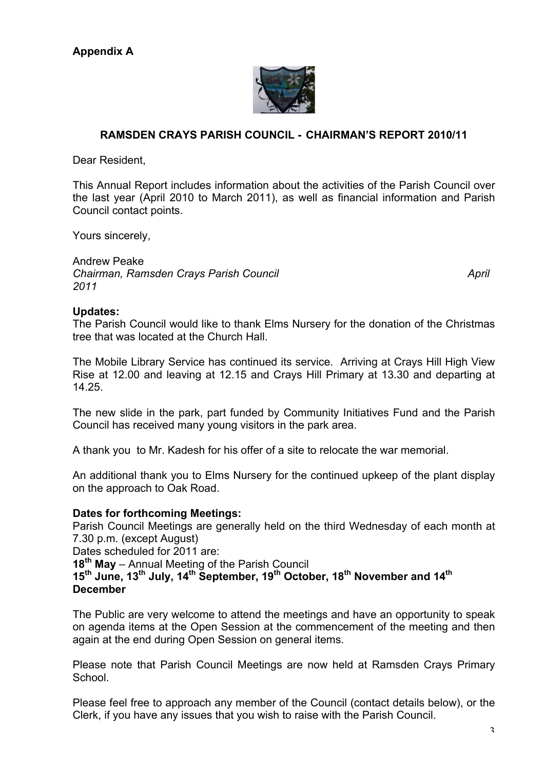

## **RAMSDEN CRAYS PARISH COUNCIL - CHAIRMAN'S REPORT 2010/11**

Dear Resident,

This Annual Report includes information about the activities of the Parish Council over the last year (April 2010 to March 2011), as well as financial information and Parish Council contact points.

Yours sincerely,

Andrew Peake *Chairman, Ramsden Crays Parish Council April 2011*

#### **Updates:**

The Parish Council would like to thank Elms Nursery for the donation of the Christmas tree that was located at the Church Hall.

The Mobile Library Service has continued its service. Arriving at Crays Hill High View Rise at 12.00 and leaving at 12.15 and Crays Hill Primary at 13.30 and departing at 14.25.

The new slide in the park, part funded by Community Initiatives Fund and the Parish Council has received many young visitors in the park area.

A thank you to Mr. Kadesh for his offer of a site to relocate the war memorial.

An additional thank you to Elms Nursery for the continued upkeep of the plant display on the approach to Oak Road.

#### **Dates for forthcoming Meetings:**

Parish Council Meetings are generally held on the third Wednesday of each month at 7.30 p.m. (except August)

Dates scheduled for 2011 are:

**18th May** – Annual Meeting of the Parish Council

**15th June, 13th July, 14th September, 19th October, 18th November and 14th December**

The Public are very welcome to attend the meetings and have an opportunity to speak on agenda items at the Open Session at the commencement of the meeting and then again at the end during Open Session on general items.

Please note that Parish Council Meetings are now held at Ramsden Crays Primary School.

Please feel free to approach any member of the Council (contact details below), or the Clerk, if you have any issues that you wish to raise with the Parish Council.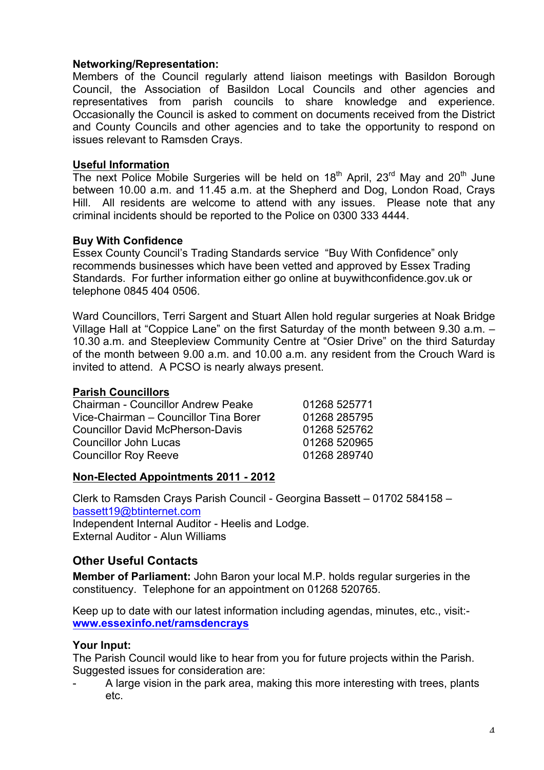#### **Networking/Representation:**

Members of the Council regularly attend liaison meetings with Basildon Borough Council, the Association of Basildon Local Councils and other agencies and representatives from parish councils to share knowledge and experience. Occasionally the Council is asked to comment on documents received from the District and County Councils and other agencies and to take the opportunity to respond on issues relevant to Ramsden Crays.

#### **Useful Information**

The next Police Mobile Surgeries will be held on 18<sup>th</sup> April, 23<sup>rd</sup> May and 20<sup>th</sup> June between 10.00 a.m. and 11.45 a.m. at the Shepherd and Dog, London Road, Crays Hill. All residents are welcome to attend with any issues. Please note that any criminal incidents should be reported to the Police on 0300 333 4444.

#### **Buy With Confidence**

Essex County Council's Trading Standards service "Buy With Confidence" only recommends businesses which have been vetted and approved by Essex Trading Standards. For further information either go online at buywithconfidence.gov.uk or telephone 0845 404 0506.

Ward Councillors, Terri Sargent and Stuart Allen hold regular surgeries at Noak Bridge Village Hall at "Coppice Lane" on the first Saturday of the month between 9.30 a.m. – 10.30 a.m. and Steepleview Community Centre at "Osier Drive" on the third Saturday of the month between 9.00 a.m. and 10.00 a.m. any resident from the Crouch Ward is invited to attend. A PCSO is nearly always present.

#### **Parish Councillors**

| <b>Chairman - Councillor Andrew Peake</b> | 01268 525771 |
|-------------------------------------------|--------------|
| Vice-Chairman - Councillor Tina Borer     | 01268 285795 |
| <b>Councillor David McPherson-Davis</b>   | 01268 525762 |
| <b>Councillor John Lucas</b>              | 01268 520965 |
| <b>Councillor Roy Reeve</b>               | 01268 289740 |

#### **Non-Elected Appointments 2011 - 2012**

Clerk to Ramsden Crays Parish Council - Georgina Bassett – 01702 584158 – bassett19@btinternet.com Independent Internal Auditor - Heelis and Lodge. External Auditor - Alun Williams

## **Other Useful Contacts**

**Member of Parliament:** John Baron your local M.P. holds regular surgeries in the constituency. Telephone for an appointment on 01268 520765.

Keep up to date with our latest information including agendas, minutes, etc., visit: **www.essexinfo.net/ramsdencrays**

## **Your Input:**

The Parish Council would like to hear from you for future projects within the Parish. Suggested issues for consideration are:

A large vision in the park area, making this more interesting with trees, plants etc.